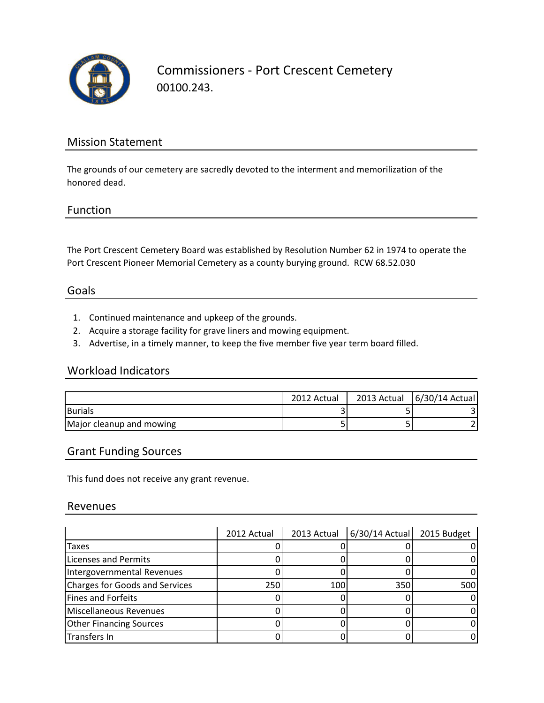

Commissioners - Port Crescent Cemetery 00100.243.

## Mission Statement

The grounds of our cemetery are sacredly devoted to the interment and memorilization of the honored dead.

### Function

The Port Crescent Cemetery Board was established by Resolution Number 62 in 1974 to operate the Port Crescent Pioneer Memorial Cemetery as a county burying ground. RCW 68.52.030

### Goals

- 1. Continued maintenance and upkeep of the grounds.
- 2. Acquire a storage facility for grave liners and mowing equipment.
- 3. Advertise, in a timely manner, to keep the five member five year term board filled.

### Workload Indicators

|                          | 2012 Actual | 2013 Actual   6/30/14 Actual |
|--------------------------|-------------|------------------------------|
| <b>Burials</b>           |             |                              |
| Major cleanup and mowing |             |                              |

## Grant Funding Sources

This fund does not receive any grant revenue.

#### Revenues

|                                | 2012 Actual | 2013 Actual | 6/30/14 Actual | 2015 Budget |
|--------------------------------|-------------|-------------|----------------|-------------|
| Taxes                          |             |             |                |             |
| <b>Licenses and Permits</b>    |             |             |                |             |
| Intergovernmental Revenues     |             |             |                |             |
| Charges for Goods and Services | 250         | 100         | 350            | 500         |
| Fines and Forfeits             |             |             |                |             |
| Miscellaneous Revenues         |             |             |                |             |
| <b>Other Financing Sources</b> |             |             |                |             |
| Transfers In                   |             |             |                |             |